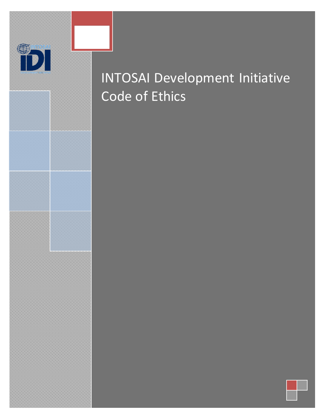INTOSAI Development Initiative Code of Ethics

**INTOSAI Development Initiative Code of Ethics**

D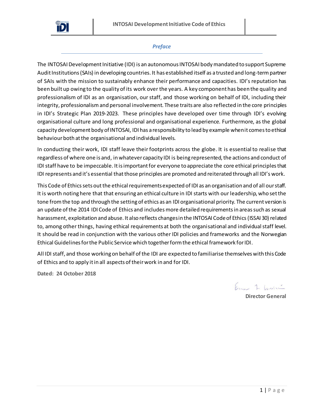

# *Preface*

The INTOSAI Development Initiative (IDI) is an autonomous INTOSAI body mandated to support Supreme Audit Institutions (SAIs) in developing countries. It has established itself as a trusted and long-termpartner of SAIs with the mission to sustainably enhance their performance and capacities. IDI's reputation has been built up owing to the quality of its work over the years. A key component has been the quality and professionalism of IDI as an organisation, our staff, and those working on behalf of IDI, including their integrity, professionalismand personal involvement. These traits are also reflected in the core principles in IDI's Strategic Plan 2019-2023. These principles have developed over time through IDI's evolving organisational culture and long professional and organisational experience. Furthermore, as the global capacity development body of INTOSAI, IDI has a responsibility to lead by example when it comes to ethical behaviour both at the organisational and individual levels.

In conducting their work, IDI staff leave their footprints across the globe. It is essential to realise that regardless of where one is and, in whatever capacity IDI is being represented, the actions and conduct of IDI staff have to be impeccable. It is important for everyone to appreciate the core ethical principles that IDI represents and it's essential that those principles are promoted and reiterated through all IDI's work.

This Code of Ethics sets out the ethical requirements expected of IDI as an organisation and of all our staff. It is worth noting here that that ensuring an ethical culture in IDI starts with our leadership, who set the tone from the top and through the setting of ethics as an IDI organisational priority. The current version is an update of the 2014 IDI Code of Ethics and includes more detailed requirements in areas such as sexual harassment, exploitation and abuse. It also reflects changes in the INTOSAI Code of Ethics (ISSAI 30) related to, among other things, having ethical requirements at both the organisational and individual staff level. It should be read in conjunction with the various other IDI policies and frameworks and the Norwegian Ethical Guidelines for the Public Service which together form the ethical framework for IDI.

All IDI staff, and those working on behalf of the IDI are expected to familiarise themselves with this Code of Ethics and to apply it in all aspects of their work in and for IDI.

**Dated: 24 October 2018**

Ernes 1. bossin

**Director General**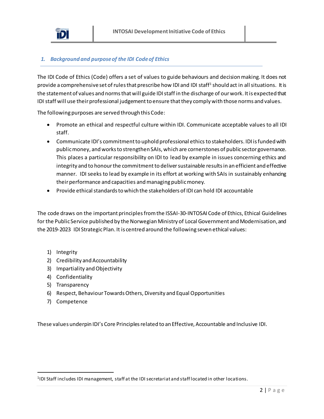

## *1. Background and purpose of the IDI Code of Ethics*

The IDI Code of Ethics (Code) offers a set of values to guide behaviours and decision making. It does not provide a comprehensive set of rules that prescribe how IDI and IDI staff<sup>1</sup> should act in all situations. It is the statement of values and norms that will guide IDI staff in the discharge of our work. It is expected that IDI staff will use their professional judgement to ensure that they comply with those norms and values.

The following purposes are served through this Code:

- Promote an ethical and respectful culture within IDI. Communicate acceptable values to all IDI staff.
- Communicate IDI's commitment to uphold professional ethics to stakeholders. IDI is funded with public money, and works to strengthen SAIs, which are cornerstones of public sector governance. This places a particular responsibility on IDI to lead by example in issues concerning ethics and integrity and to honour the commitment to deliver sustainable results in an efficient and effective manner. IDI seeks to lead by example in its effort at working with SAIs in sustainably enhancing their performance and capacities and managing public money.
- Provide ethical standards to which the stakeholders of IDI can hold IDI accountable

The code draws on the important principlesfrom the ISSAI-30-INTOSAI Code of Ethics, Ethical Guidelines for the Public Service published by the Norwegian Ministry of Local Government and Modernisation, and the 2019-2023 IDI Strategic Plan. It is centred around the following seven ethical values:

- 1) Integrity
- 2) Credibility and Accountability
- 3) Impartiality and Objectivity
- 4) Confidentiality
- 5) Transparency
- 6) Respect, Behaviour Towards Others, Diversity and Equal Opportunities
- 7) Competence

 $\overline{a}$ 

These values underpin IDI's Core Principles related to an Effective, Accountable and Inclusive IDI.

<sup>1</sup> IDI Staff includes IDI management, staff at the IDI secretariat and staff located in other locations.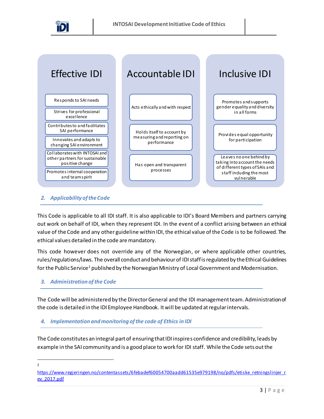



## *2. Applicability of the Code*

This Code is applicable to all IDI staff. It is also applicable to IDI's Board Members and partners carrying out work on behalf of IDI, when they represent IDI. In the event of a conflict arising between an ethical value of the Code and any other guideline within IDI, the ethical value of the Code is to be followed.The ethical values detailed in the code are mandatory.

This code however does not override any of the Norwegian, or where applicable other countries, rules/regulations/laws. The overall conduct and behaviour of IDI staffisregulated by the Ethical Guidelines for the Public Service<sup>2</sup> published by the Norwegian Ministry of Local Government and Modernisation.

## *3. Administration of the Code*

The Code will be administered by the Director General and the IDI management team. Administration of the code is detailed in the IDI Employee Handbook. It will be updated at regular intervals.

*4. Implementation and monitoring of the code of Ethics in IDI*

The Code constitutes an integral part of ensuring that IDI inspires confidence and credibility, leads by example in the SAI community and is a good place to work for IDI staff. While the Code sets out the

 $\overline{a}$  $\overline{2}$ 

[https://www.regjeringen.no/contentassets/6febadef60054700aadd61535e979198/no/pdfs/etiske\\_retningslinjer\\_r](https://www.regjeringen.no/contentassets/6febadef60054700aadd61535e979198/no/pdfs/etiske_retningslinjer_rev_2017.pdf) [ev\\_2017.pdf](https://www.regjeringen.no/contentassets/6febadef60054700aadd61535e979198/no/pdfs/etiske_retningslinjer_rev_2017.pdf)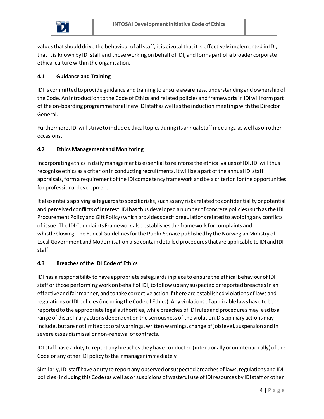values that should drive the behaviourof all staff, it is pivotal that it is effectively implemented in IDI, that it is known by IDI staff and those working on behalf of IDI, and forms part of a broader corporate ethical culture within the organisation.

# **4.1 Guidance and Training**

IDI is committed to provide guidance and training to ensure awareness, understanding and ownership of the Code. An introduction to the Code of Ethics and related policies and frameworks in IDI will form part of the on-boarding programme for all new IDI staff as well as the induction meetings with the Director General.

Furthermore, IDI will strive to include ethical topics during its annual staff meetings, as well as on other occasions.

# **4.2 Ethics Management and Monitoring**

Incorporating ethics in daily management is essential to reinforce the ethical values of IDI. IDI will thus recognise ethics as a criterion in conducting recruitments, it will be apart of the annual IDI staff appraisals, form a requirement of the IDI competency framework and be a criterion for the opportunities for professional development.

It also entails applying safeguards to specific risks, such as any risks related to confidentiality or potential and perceived conflicts of interest. IDI has thus developed a number of concrete policies (such as the IDI Procurement Policy and Gift Policy) which provides specific regulations related to avoiding any conflicts of issue. The IDI Complaints Framework also establishes the framework for complaints and whistleblowing. The Ethical Guidelines for the Public Service published by the Norwegian Ministry of Local Government and Modernisation also contain detailed procedures that are applicable to IDI and IDI staff.

# **4.3 Breaches of the IDI Code of Ethics**

IDI has a responsibility to have appropriate safeguards in place to ensure the ethical behaviour of IDI staff or those performing work on behalf of IDI, to follow up any suspected or reported breaches in an effective and fair manner, and to take corrective action if there are established violations of laws and regulations orIDI policies (including the Code of Ethics). Any violations of applicable laws have to be reported to the appropriate legal authorities, while breaches of IDI rules and procedures may lead to a range of disciplinary actions dependent on the seriousness of the violation. Disciplinary actions may include, but are not limited to: oral warnings, written warnings, change of job level, suspension and in severe cases dismissal or non-renewal of contracts.

IDI staff have a duty to report any breaches they have conducted (intentionally or unintentionally) of the Code or any other IDI policy to their managerimmediately.

Similarly, IDI staff have a duty to report any observed or suspected breaches of laws, regulations and IDI policies (including this Code) as well as or suspicions of wasteful use of IDI resources by IDI staff or other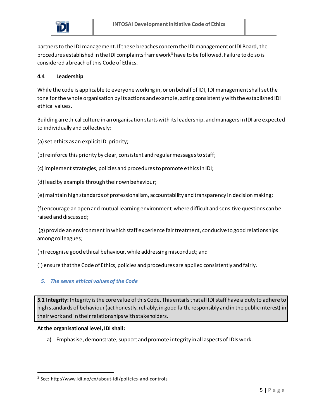

partners to the IDI management. If these breaches concern the IDI management or IDI Board, the procedures established in the IDI complaints framework<sup>3</sup> have to be followed. Failure to do so is considered a breach of this Code of Ethics.

#### **4.4 Leadership**

While the code is applicable to everyone working in, or on behalf of IDI, IDI managementshall set the tone for the whole organisation by its actions and example, acting consistently with the established IDI ethical values.

Building an ethical culture in an organisation starts with its leadership, and managersin IDI are expected to individually and collectively:

(a) set ethics as an explicit IDI priority;

(b) reinforce this priority by clear, consistent and regular messages to staff;

(c) implement strategies, policies and procedures to promote ethics in IDI;

(d) lead by example through their own behaviour;

(e) maintain high standards of professionalism, accountability and transparency in decision making;

(f) encourage an open and mutual learning environment, where difficult and sensitive questions can be raised and discussed;

(g) provide an environment in which staff experience fair treatment, conducive to good relationships among colleagues;

(h) recognise good ethical behaviour, while addressing misconduct; and

(i) ensure that the Code of Ethics, policies and procedures are applied consistently and fairly.

## *5. The seven ethical values of the Code*

**5.1 Integrity:** Integrity is the core value of this Code. This entails that all IDI staff have a duty to adhere to high standards of behaviour (act honestly, reliably, in good faith, responsibly and in the public interest) in their work and in their relationships with stakeholders.

#### **At the organisational level, IDI shall:**

 $\overline{a}$ 

a) Emphasise, demonstrate, support and promote integrity in all aspects of IDIs work.

<sup>3</sup> See: http://www.idi.no/en/about-idi/policies-and-controls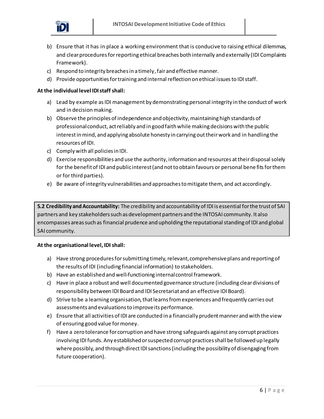

- b) Ensure that it has in place a working environment that is conducive to raising ethical dilemmas, and clear procedures for reporting ethical breaches both internally and externally (IDI Complaints Framework).
- c) Respond to integrity breaches in a timely, fair and effective manner.
- d) Provide opportunities for training and internal reflection on ethical issues to IDI staff.

- a) Lead by example as IDI management by demonstrating personal integrity in the conduct of work and in decision making.
- b) Observe the principles of independence and objectivity, maintaining high standards of professional conduct, act reliably and in good faith while making decisions with the public interest in mind, and applying absolute honesty in carrying out their work and in handling the resources of IDI.
- c) Comply with all policies in IDI.
- d) Exercise responsibilities and use the authority, information and resources at their disposal solely for the benefit of IDI and public interest (and not to obtain favours or personal bene fits for them or for third parties).
- e) Be aware of integrity vulnerabilities and approaches to mitigate them, and act accordingly.

**5.2 Credibility and Accountability:** The credibility and accountability of IDI is essential for the trust of SAI partners and key stakeholders such as development partners and the INTOSAI community. It also encompasses areas such as financial prudence and upholding the reputational standing of IDI and global SAI community.

- a) Have strong procedures for submitting timely, relevant, comprehensive plans and reporting of the results of IDI (including financial information) to stakeholders.
- b) Have an established and well-functioning internal control framework.
- c) Have in place a robust and well documented governance structure (including clear divisions of responsibility between IDI Board and IDI Secretariat and an effective IDI Board).
- d) Strive to be a learning organisation, that learns from experiences and frequently carries out assessments and evaluations to improve its performance.
- e) Ensure that all activities of IDI are conducted in a financially prudent manner and with the view of ensuring good value for money.
- f) Have a zero tolerance for corruption and have strong safeguards against any corrupt practices involving IDI funds. Any established or suspected corrupt practices shall be followed up legally where possibly, and through direct IDI sanctions (including the possibility of disengaging from future cooperation).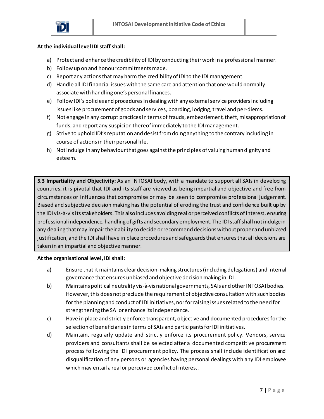

- a) Protect and enhance the credibility of IDI by conducting their work in a professional manner.
- b) Follow up on and honour commitments made.
- c) Report any actions that may harm the credibility of IDI to the IDI management.
- d) Handle all IDI financial issues with the same care and attention that one would normally associate with handling one's personal finances.
- e) Follow IDI's policies and procedures in dealing with any external service providers including issues like procurement of goods and services, boarding, lodging, traveland per-diems.
- f) Not engage in any corrupt practices in terms of frauds, embezzlement, theft, misappropriation of funds, and report any suspicion thereof immediately to the IDI management.
- g) Strive to uphold IDI's reputation and desist from doing anything to the contrary including in course of actions in their personal life.
- h) Not indulge in any behaviour that goes against the principles of valuing human dignity and esteem.

**5.3 Impartiality and Objectivity:** As an INTOSAI body, with a mandate to support all SAIs in developing countries, it is pivotal that IDI and its staff are viewed as being impartial and objective and free from circumstances or influences that compromise or may be seen to compromise professional judgement. Biased and subjective decision making has the potential of eroding the trust and confidence built up by the IDI vis-à-vis its stakeholders. This also includes avoiding real or perceived conflicts of interest, ensuring professional independence, handling of gifts and secondary employment. The IDI staff shall not indulge in any dealing that may impair their ability to decide or recommend decisions without proper and unbiased justification, and the IDI shall have in place procedures and safeguards that ensures that all decisions are taken in an impartial and objective manner.

- a) Ensure that it maintains clear decision-making structures (including delegations) and internal governance that ensures unbiased and objective decision making in IDI.
- b) Maintains political neutrality vis-à-vis national governments, SAIs and other INTOSAI bodies. However, this does not preclude the requirement of objective consultation with such bodies for the planning and conduct of IDI initiatives, nor for raising issues related to the need for strengthening the SAI or enhance its independence.
- c) Have in place and strictly enforce transparent, objective and documented procedures for the selection of beneficiaries in terms of SAIs and participants for IDI initiatives.
- d) Maintain, regularly update and strictly enforce its procurement policy. Vendors, service providers and consultants shall be selected after a documented competitive procurement process following the IDI procurement policy. The process shall include identification and disqualification of any persons or agencies having personal dealings with any IDI employee which may entail a real or perceived conflict of interest.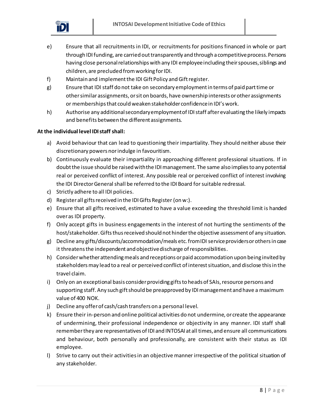

- e) Ensure that all recruitments in IDI, or recruitments for positions financed in whole or part through IDI funding, are carried out transparently and through a competitive process. Persons having close personal relationships with any IDI employee including their spouses, siblings and children, are precluded from working for IDI.
- f) Maintain and implement the IDI Gift Policy and Gift register.
- g) Ensure that IDI staff do not take on secondary employment in terms of paid part time or other similar assignments, or sit on boards, have ownership interests or other assignments or memberships that could weaken stakeholder confidence in IDI's work.
- h) Authorise any additional secondary employment of IDI staff after evaluating the likely impacts and benefits between the different assignments.

- a) Avoid behaviour that can lead to questioning their impartiality. They should neither abuse their discretionary powers nor indulge in favouritism.
- b) Continuously evaluate their impartiality in approaching different professional situations. If in doubt the issue should be raised with the IDI management. The same also implies to any potential real or perceived conflict of interest. Any possible real or perceived conflict of interest involving the IDI Director General shall be referred to the IDI Board for suitable redressal.
- c) Strictly adhere to all IDI policies.
- d) Register all gifts received in the IDI Gifts Register(on w:).
- e) Ensure that all gifts received, estimated to have a value exceeding the threshold limit is handed over as IDI property.
- f) Only accept gifts in business engagements in the interest of not hurting the sentiments of the host/stakeholder. Gifts thus received should not hinder the objective assessment of any situation.
- g) Decline any gifts/discounts/accommodation/meals etc. from IDI service providers or others in case it threatens the independent and objective discharge of responsibilities.
- h) Consider whether attending meals and receptions or paid accommodation upon being invited by stakeholders may lead to a real or perceived conflict of interest situation, and disclose this in the travel claim.
- i) Only on an exceptional basis consider providing gifts to heads of SAIs, resource persons and supporting staff. Any such gift should be preapproved by IDI management and have a maximum value of 400 NOK.
- j) Decline any offer of cash/cash transfers on a personal level.
- k) Ensure their in-person and online political activities do not undermine, or create the appearance of undermining, their professional independence or objectivity in any manner. IDI staff shall remember they are representatives of IDI and INTOSAI at all times, and ensure all communications and behaviour, both personally and professionally, are consistent with their status as IDI employee.
- l) Strive to carry out their activities in an objective manner irrespective of the political situation of any stakeholder.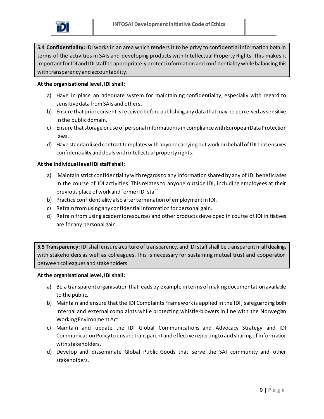

**5.4 Confidentiality:** IDI works in an area which renders it to be privy to confidential information both in terms of the activities in SAIs and developing products with Intellectual Property Rights. This makes it important for IDI and IDI staff to appropriately protect information and confidentiality while balancing this with transparency and accountability.

#### **At the organisational level, IDI shall:**

- a) Have in place an adequate system for maintaining confidentiality, especially with regard to sensitive data from SAIs and others.
- b) Ensure that prior consent is received before publishing any data that may be perceived as sensitive in the public domain.
- c) Ensure that storage or use of personal information is in compliance with European Data Protection laws.
- d) Have standardised contract templates with anyone carrying out work on behalf of IDI that ensures confidentiality and deals with intellectual property rights.

#### **At the individual level IDI staff shall:**

- a) Maintain strict confidentiality with regards to any information shared by any of IDI beneficiaries in the course of IDI activities. This relates to anyone outside IDI, including employees at their previous place of work and former IDI staff.
- b) Practice confidentiality also after termination of employment in IDI.
- c) Refrain from using any confidential information for personal gain.
- d) Refrain from using academic resources and other products developed in course of IDI initiatives are for any personal gain.

**5.5 Transparency:** IDI shall ensure a culture of transparency, and IDI staffshall be transparent in all dealings with stakeholders as well as colleagues. This is necessary for sustaining mutual trust and cooperation between colleagues and stakeholders.

- a) Be a transparent organisation that leads by example in terms of making documentation available to the public.
- b) Maintain and ensure that the IDI Complaints Framework is applied in the IDI, safeguarding both internal and external complaints while protecting whistle-blowers in line with the Norwegian Working Environment Act.
- c) Maintain and update the IDI Global Communications and Advocacy Strategy and IDI Communication Policy to ensure transparent and effective reporting to and sharing of information with stakeholders.
- d) Develop and disseminate Global Public Goods that serve the SAI community and other stakeholders.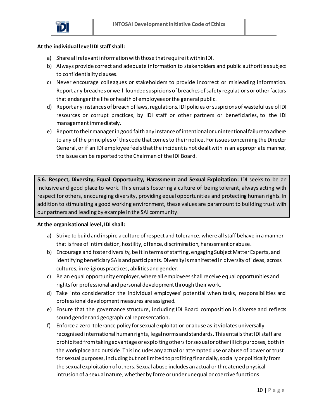

- a) Share all relevant information with those that require it within IDI.
- b) Always provide correct and adequate information to stakeholders and public authorities subject to confidentiality clauses.
- c) Never encourage colleagues or stakeholders to provide incorrect or misleading information. Report any breaches or well-founded suspicions of breaches of safety regulations or other factors that endanger the life or health of employees or the general public.
- d) Report any instances of breach of laws, regulations, IDI policies or suspicions of wasteful use of IDI resources or corrupt practices, by IDI staff or other partners or beneficiaries, to the IDI management immediately.
- e) Report to their managerin good faith any instance of intentional or unintentional failure to adhere to any of the principles of this code that comes to their notice. For issues concerning the Director General, or if an IDI employee feels that the incident is not dealt with in an appropriate manner, the issue can be reported to the Chairman of the IDI Board.

**5.6. Respect, Diversity, Equal Opportunity, Harassment and Sexual Exploitation:** IDI seeks to be an inclusive and good place to work. This entails fostering a culture of being tolerant, always acting with respect for others, encouraging diversity, providing equal opportunities and protecting human rights. In addition to stimulating a good working environment, these values are paramount to building trust with our partners and leading by example in the SAI community.

- a) Strive to build and inspire a culture of respect and tolerance, where all staff behave in a manner that is free of intimidation, hostility, offence, discrimination, harassment or abuse.
- b) Encourage and foster diversity, be it in terms of staffing, engaging Subject Matter Experts, and identifying beneficiary SAIs and participants. Diversity is manifested in diversity of ideas, across cultures, in religious practices, abilities and gender.
- c) Be an equal opportunity employer, where all employees shall receive equal opportunities and rights for professional and personal development through their work.
- d) Take into consideration the individual employees' potential when tasks, responsibilities and professional development measures are assigned.
- e) Ensure that the governance structure, including IDI Board composition is diverse and reflects sound gender and geographical representation.
- f) Enforce a zero-tolerance policy for sexual exploitation or abuse as it violates universally recognised international human rights, legal norms and standards. This entails that IDI staff are prohibited from taking advantage or exploiting others for sexual or other illicit purposes, both in the workplace and outside. This includes any actual or attempted use or abuse of power or trust for sexual purposes, including but not limited to profiting financially, socially or politically from the sexual exploitation of others. Sexual abuse includes an actual or threatened physical intrusion of a sexual nature, whether by force or under unequal or coercive functions